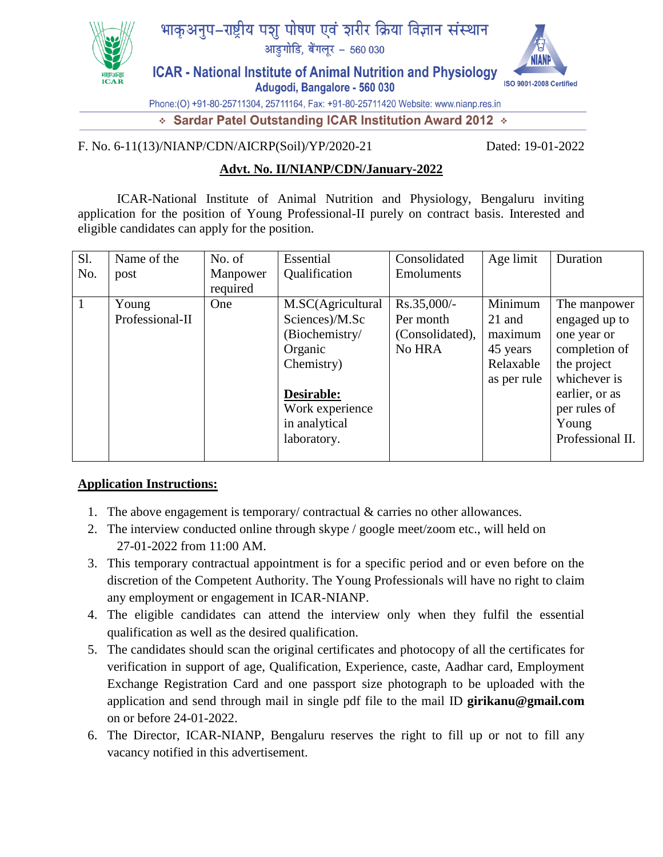

# भाकअनुप-राष्ट्रीय पशु पोषण एवं शरीर क्रिया विज्ञान संस्थान

आड़ुगोडि, बेंगलूर - 560 030

ISO 9001-2008 Certified

**ICAR - National Institute of Animal Nutrition and Physiology** Adugodi, Bangalore - 560 030

Phone:(O) +91-80-25711304, 25711164, Fax: +91-80-25711420 Website: www.nianp.res.in

◈ Sardar Patel Outstanding ICAR Institution Award 2012 ♦

#### F. No. 6-11(13)/NIANP/CDN/AICRP(Soil)/YP/2020-21 Dated: 19-01-2022

### **Advt. No. II/NIANP/CDN/January-2022**

ICAR-National Institute of Animal Nutrition and Physiology, Bengaluru inviting application for the position of Young Professional-II purely on contract basis. Interested and eligible candidates can apply for the position.

| Sl. | Name of the     | No. of   | Essential         | Consolidated      | Age limit   | Duration         |
|-----|-----------------|----------|-------------------|-------------------|-------------|------------------|
| No. | post            | Manpower | Qualification     | <b>Emoluments</b> |             |                  |
|     |                 | required |                   |                   |             |                  |
|     | Young           | One      | M.SC(Agricultural | $Rs.35,000/-$     | Minimum     | The manpower     |
|     | Professional-II |          | Sciences)/M.Sc    | Per month         | 21 and      | engaged up to    |
|     |                 |          | (Biochemistry/    | (Consolidated),   | maximum     | one year or      |
|     |                 |          | Organic           | No HRA            | 45 years    | completion of    |
|     |                 |          | Chemistry)        |                   | Relaxable   | the project      |
|     |                 |          |                   |                   | as per rule | whichever is     |
|     |                 |          | Desirable:        |                   |             | earlier, or as   |
|     |                 |          | Work experience   |                   |             | per rules of     |
|     |                 |          | in analytical     |                   |             | Young            |
|     |                 |          | laboratory.       |                   |             | Professional II. |
|     |                 |          |                   |                   |             |                  |

## **Application Instructions:**

- 1. The above engagement is temporary/ contractual & carries no other allowances.
- 2. The interview conducted online through skype / google meet/zoom etc., will held on 27-01-2022 from 11:00 AM.
- 3. This temporary contractual appointment is for a specific period and or even before on the discretion of the Competent Authority. The Young Professionals will have no right to claim any employment or engagement in ICAR-NIANP.
- 4. The eligible candidates can attend the interview only when they fulfil the essential qualification as well as the desired qualification.
- 5. The candidates should scan the original certificates and photocopy of all the certificates for verification in support of age, Qualification, Experience, caste, Aadhar card, Employment Exchange Registration Card and one passport size photograph to be uploaded with the application and send through mail in single pdf file to the mail ID **girikanu@gmail.com** on or before 24-01-2022.
- 6. The Director, ICAR-NIANP, Bengaluru reserves the right to fill up or not to fill any vacancy notified in this advertisement.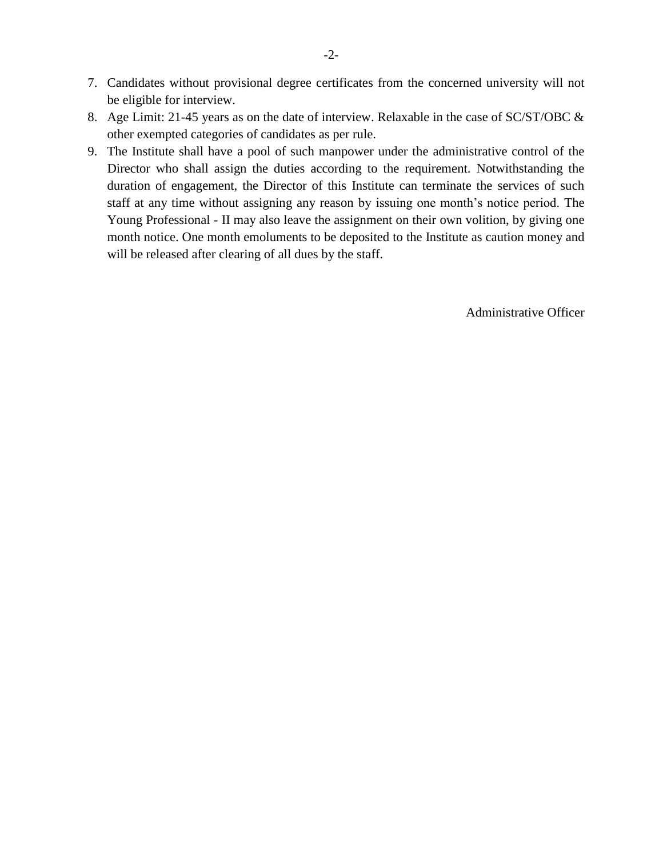- 7. Candidates without provisional degree certificates from the concerned university will not be eligible for interview.
- 8. Age Limit: 21-45 years as on the date of interview. Relaxable in the case of SC/ST/OBC & other exempted categories of candidates as per rule.
- 9. The Institute shall have a pool of such manpower under the administrative control of the Director who shall assign the duties according to the requirement. Notwithstanding the duration of engagement, the Director of this Institute can terminate the services of such staff at any time without assigning any reason by issuing one month's notice period. The Young Professional - II may also leave the assignment on their own volition, by giving one month notice. One month emoluments to be deposited to the Institute as caution money and will be released after clearing of all dues by the staff.

Administrative Officer